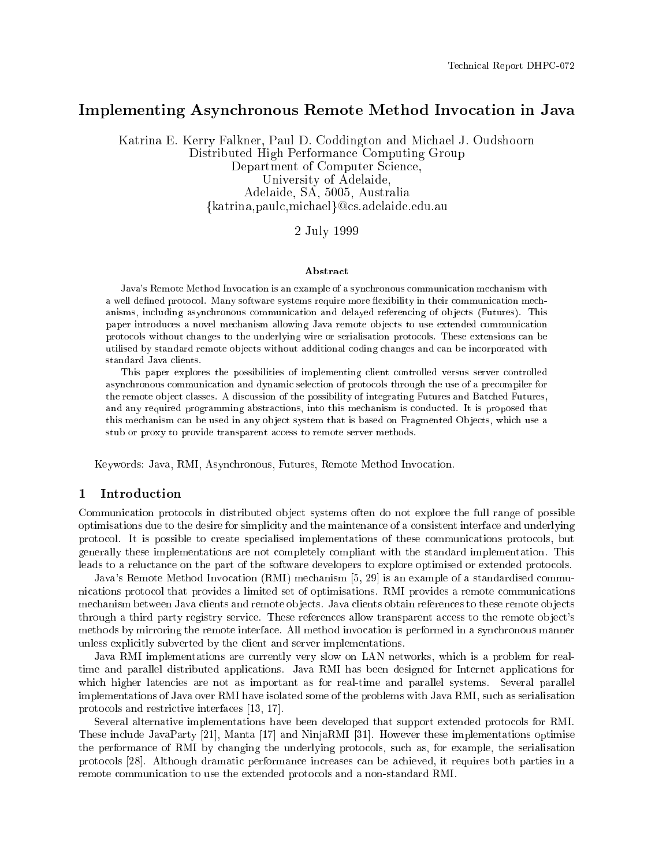# Implementing Asynchronous Remote Method Invocation in Java

Katrina E. Kerry Falkner, Paul D. Coddington and Michael J. Oudshoorn Distributed High Performance Computing Group Department of Computer Science, University of Adelaide, Adelaide, SA, 5005, Australia  $\{katrina, paulc, michael\}@cs.adelaide.edu.au$ 

2 July 1999

#### Abstract

Java's Remote Method Invocation is an example of a synchronous communication mechanism with a well defined protocol. Many software systems require more flexibility in their communication mechanisms, including asynchronous communication and delayed referencing of ob jects (Futures). This paper introduces a novel mechanism allowing Java remote ob jects to use extended communication protocols without changes to the underlying wire or serialisation protocols. These extensions can be utilised by standard remote objects without additional coding changes and can be incorporated with standard Java clients.

This paper explores the possibilities of implementing client controlled versus server controlled asynchronous communication and dynamic selection of protocols through the use of a precompiler for the remote ob ject classes. A discussion of the possibility of integrating Futures and Batched Futures, and any required programming abstractions, into this mechanism is conducted. It is proposed that this mechanism can be used in any object system that is based on Fragmented Objects, which use a stub or proxy to provide transparent access to remote server methods.

Keywords: Java, RMI, Asynchronous, Futures, Remote Method Invocation.

# 1 Introduction

Communication protocols in distributed ob ject systems often do not explore the full range of possible optimisations due to the desire for simplicity and the maintenance of a consistent interface and underlying protocol. It is possible to create specialised implementations of these communications protocols, but generally these implementations are not completely compliant with the standard implementation. This leads to a reluctance on the part of the software developers to explore optimised or extended protocols.

Java's Remote Method Invocation (RMI) mechanism [5, 29] is an example of a standardised communications protocol that provides a limited set of optimisations. RMI provides a remote communications mechanism between Java clients and remote objects. Java clients obtain references to these remote objects through a third party registry service. These references allow transparent access to the remote ob ject's methods by mirroring the remote interface. All method invocation is performed in a synchronous manner unless explicitly subverted by the client and server implementations.

Java RMI implementations are currently very slow on LAN networks, which is a problem for realtime and parallel distributed applications. Java RMI has been designed for Internet applications for which higher latencies are not as important as for real-time and parallel systems. Several parallel implementations of Java over RMI have isolated some of the problems with Java RMI, such as serialisation protocols and restrictive interfaces [13, 17].

Several alternative implementations have been developed that support extended protocols for RMI. These include JavaParty [21], Manta [17] and NinjaRMI [31]. However these implementations optimise the performance of RMI by changing the underlying protocols, such as, for example, the serialisation protocols [28]. Although dramatic performance increases can be achieved, it requires both parties in a remote communication to use the extended protocols and a non-standard RMI.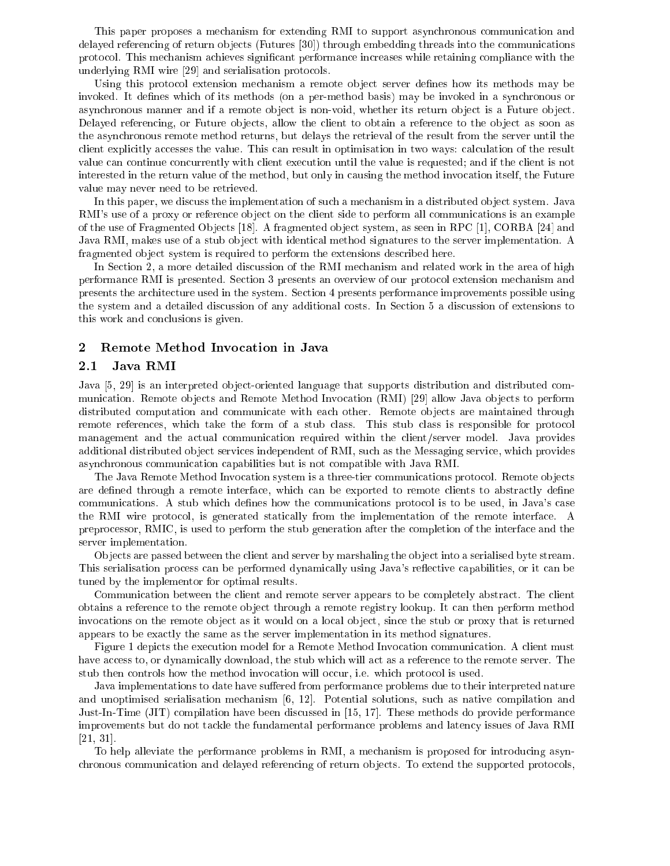This paper proposes a mechanism for extending RMI to support asynchronous communication and delayed referencing of return ob jects (Futures [30]) through embedding threads into the communications protocol. This mechanism achieves signicant performance increases while retaining compliance with the underlying RMI wire [29] and serialisation protocols.

Using this protocol extension mechanism a remote object server defines how its methods may be invoked. It defines which of its methods (on a per-method basis) may be invoked in a synchronous or asynchronous manner and if a remote object is non-void, whether its return object is a Future object. Delayed referencing, or Future objects, allow the client to obtain a reference to the object as soon as the asynchronous remote method returns, but delays the retrieval of the result from the server until the client explicitly accesses the value. This can result in optimisation in two ways: calculation of the result value can continue concurrently with client execution until the value is requested; and if the client is not interested in the return value of the method, but only in causing the method invocation itself, the Future value may never need to be retrieved.

In this paper, we discuss the implementation of such a mechanism in a distributed object system. Java RMI's use of a proxy or reference object on the client side to perform all communications is an example of the use of Fragmented Ob jects [18]. A fragmented ob ject system, as seen in RPC [1], CORBA [24] and Java RMI, makes use of a stub object with identical method signatures to the server implementation. A fragmented ob ject system is required to perform the extensions described here.

In Section 2, a more detailed discussion of the RMI mechanism and related work in the area of high performance RMI is presented. Section 3 presents an overview of our protocol extension mechanism and presents the architecture used in the system. Section 4 presents performance improvements possible using the system and a detailed discussion of any additional costs. In Section 5 a discussion of extensions to this work and conclusions is given.

#### 2 Remote Method Invocation in Java

### 2.1 Java RMI

Java [5, 29] is an interpreted object-oriented language that supports distribution and distributed communication. Remote objects and Remote Method Invocation (RMI) [29] allow Java objects to perform distributed computation and communicate with each other. Remote objects are maintained through remote references, which take the form of a stub class. This stub class is responsible for protocol management and the actual communication required within the client/server model. Java provides additional distributed object services independent of RMI, such as the Messaging service, which provides asynchronous communication capabilities but is not compatible with Java RMI.

The Java Remote Method Invocation system is a three-tier communications protocol. Remote ob jects are defined through a remote interface, which can be exported to remote clients to abstractly define communications. A stub which defines how the communications protocol is to be used, in Java's case the RMI wire protocol, is generated statically from the implementation of the remote interface. A preprocessor, RMIC, is used to perform the stub generation after the completion of the interface and the server implementation.

Objects are passed between the client and server by marshaling the object into a serialised byte stream. This serialisation process can be performed dynamically using Java's reflective capabilities, or it can be tuned by the implementor for optimal results.

Communication between the client and remote server appears to be completely abstract. The client obtains a reference to the remote ob ject through a remote registry lookup. It can then perform method invocations on the remote object as it would on a local object, since the stub or proxy that is returned appears to be exactly the same as the server implementation in its method signatures.

Figure 1 depicts the execution model for a Remote Method Invocation communication. A client must have access to, or dynamically download, the stub which will act as a reference to the remote server. The stub then controls how the method invocation will occur, i.e. which protocol is used.

Java implementations to date have suffered from performance problems due to their interpreted nature and unoptimised serialisation mechanism [6, 12]. Potential solutions, such as native compilation and Just-In-Time (JIT) compilation have been discussed in [15, 17]. These methods do provide performance improvements but do not tackle the fundamental performance problems and latency issues of Java RMI [21, 31].

To help alleviate the performance problems in RMI, a mechanism is proposed for introducing asynchronous communication and delayed referencing of return objects. To extend the supported protocols,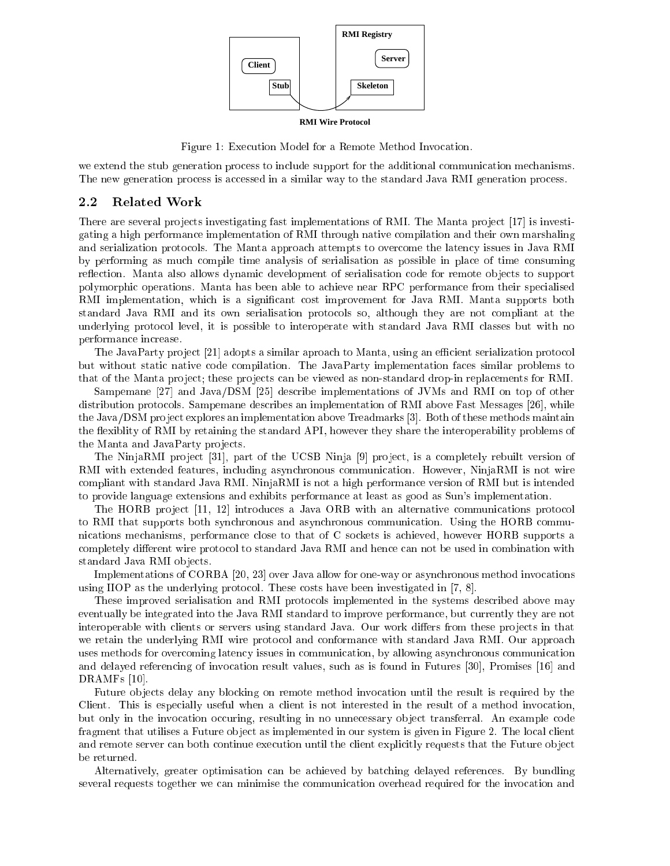

**RMI Wire Protocol**

Figure 1: Execution Model for a Remote Method Invocation.

we extend the stub generation process to include support for the additional communication mechanisms. The new generation process is accessed in a similar way to the standard Java RMI generation process.

#### Related Work  $2.2$

There are several projects investigating fast implementations of RMI. The Manta project [17] is investigating a high performance implementation of RMI through native compilation and their own marshaling and serialization protocols. The Manta approach attempts to overcome the latency issues in Java RMI by performing as much compile time analysis of serialisation as possible in place of time consuming reflection. Manta also allows dynamic development of serialisation code for remote objects to support polymorphic operations. Manta has been able to achieve near RPC performance from their specialised RMI implementation, which is a signicant cost improvement for Java RMI. Manta supports both standard Java RMI and its own serialisation protocols so, although they are not compliant at the underlying protocol level, it is possible to interoperate with standard Java RMI classes but with no performance increase.

The JavaParty project [21] adopts a similar aproach to Manta, using an efficient serialization protocol but without static native code compilation. The JavaParty implementation faces similar problems to that of the Manta project; these projects can be viewed as non-standard drop-in replacements for RMI.

Sampemane [27] and Java/DSM [25] describe implementations of JVMs and RMI on top of other distribution protocols. Sampemane describes an implementation of RMI above Fast Messages [26], while the Java/DSM project explores an implementation above Treadmarks [3]. Both of these methods maintain the flexibility of RMI by retaining the standard API, however they share the interoperability problems of the Manta and JavaParty projects.

The NinjaRMI project [31], part of the UCSB Ninja [9] project, is a completely rebuilt version of RMI with extended features, including asynchronous communication. However, NinjaRMI is not wire compliant with standard Java RMI. NinjaRMI is not a high performance version of RMI but is intended to provide language extensions and exhibits performance at least as good as Sun's implementation.

The HORB project [11, 12] introduces a Java ORB with an alternative communications protocol to RMI that supports both synchronous and asynchronous communication. Using the HORB communications mechanisms, performance close to that of C sockets is achieved, however HORB supports a completely different wire protocol to standard Java RMI and hence can not be used in combination with standard Java RMI objects.

Implementations of CORBA [20, 23] over Java allow for one-way or asynchronous method invocations using IIOP as the underlying protocol. These costs have been investigated in [7, 8].

These improved serialisation and RMI protocols implemented in the systems described above may eventually be integrated into the Java RMI standard to improve performance, but currently they are not interoperable with clients or servers using standard Java. Our work differs from these projects in that we retain the underlying RMI wire protocol and conformance with standard Java RMI. Our approach uses methods for overcoming latency issues in communication, by allowing asynchronous communication and delayed referencing of invocation result values, such as is found in Futures [30], Promises [16] and DRAMFs [10].

Future objects delay any blocking on remote method invocation until the result is required by the Client. This is especially useful when a client is not interested in the result of a method invocation, but only in the invocation occuring, resulting in no unnecessary ob ject transferral. An example code fragment that utilises a Future ob ject as implemented in our system is given in Figure 2. The local client and remote server can both continue execution until the client explicitly requests that the Future ob ject be returned.

Alternatively, greater optimisation can be achieved by batching delayed references. By bundling several requests together we can minimise the communication overhead required for the invocation and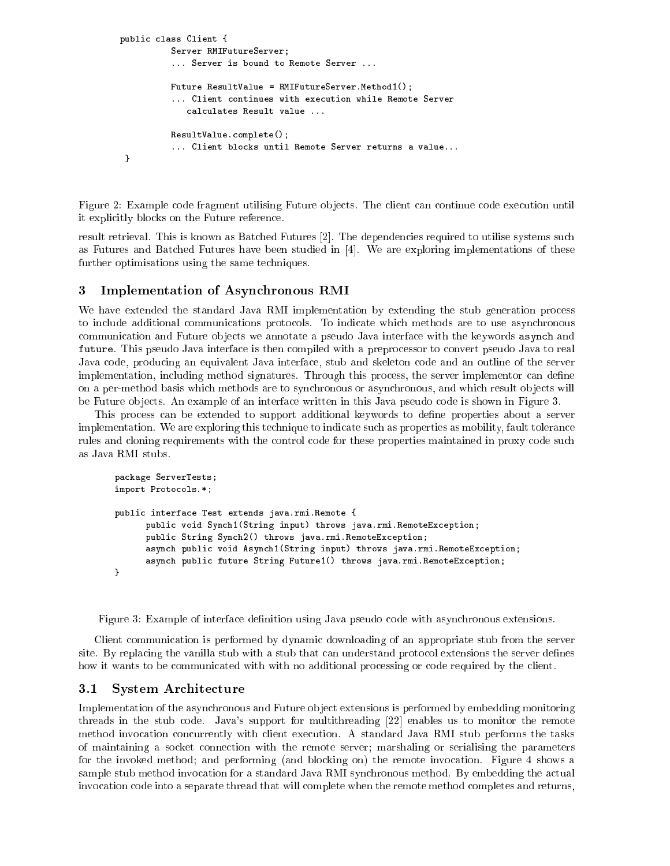```
public class Client {
          Server RMIFutureServer;
          ... Server is bound to Remote Server ...
          Future ResultValue = RMIFutureServer.Method1();
          ... Client continues with execution while Remote Server
             calculates Result value ...
          ResultValue.complete();
          ... Client blocks until Remote Server returns a value...
 }
```
Figure 2: Example code fragment utilising Future objects. The client can continue code execution until it explicitly blocks on the Future reference.

result retrieval. This is known as Batched Futures [2]. The dependencies required to utilise systems such as Futures and Batched Futures have been studied in [4]. We are exploring implementations of these further optimisations using the same techniques.

# 3 Implementation of Asynchronous RMI

We have extended the standard Java RMI implementation by extending the stub generation process to include additional communications protocols. To indicate which methods are to use asynchronous communication and Future ob jects we annotate a pseudo Java interface with the keywords asynch and future. This pseudo Java interface is then compiled with a preprocessor to convert pseudo Java to real Java code, producing an equivalent Java interface, stub and skeleton code and an outline of the server implementation, including method signatures. Through this process, the server implementor can define on a per-method basis which methods are to synchronous or asynchronous, and which result ob jects will be Future objects. An example of an interface written in this Java pseudo code is shown in Figure 3.

This process can be extended to support additional keywords to define properties about a server implementation. We are exploring this technique to indicate such as properties as mobility, fault tolerance rules and cloning requirements with the control code for these properties maintained in proxy code such as Java RMI stubs.

```
package ServerTests;
import Protocols.*;
public interface Test extends java.rmi.Remote {
      public void Synch1(String input) throws java.rmi.RemoteException;
      public String Synch2() throws java.rmi.RemoteException;
      asynch public void Asynch1(String input) throws java.rmi.RemoteException;
      asynch public future String Future1() throws java.rmi.RemoteException;
}
```
Figure 3: Example of interface definition using Java pseudo code with asynchronous extensions.

Client communication is performed by dynamic downloading of an appropriate stub from the server site. By replacing the vanilla stub with a stub that can understand protocol extensions the server defines how it wants to be communicated with with no additional processing or code required by the client.

#### 3.1 System Architecture

Implementation of the asynchronous and Future object extensions is performed by embedding monitoring threads in the stub code. Java's support for multithreading [22] enables us to monitor the remote method invocation concurrently with client execution. A standard Java RMI stub performs the tasks of maintaining a socket connection with the remote server; marshaling or serialising the parameters for the invoked method; and performing (and blocking on) the remote invocation. Figure 4 shows a sample stub method invocation for a standard Java RMI synchronous method. By embedding the actual invocation code into a separate thread that will complete when the remote method completes and returns,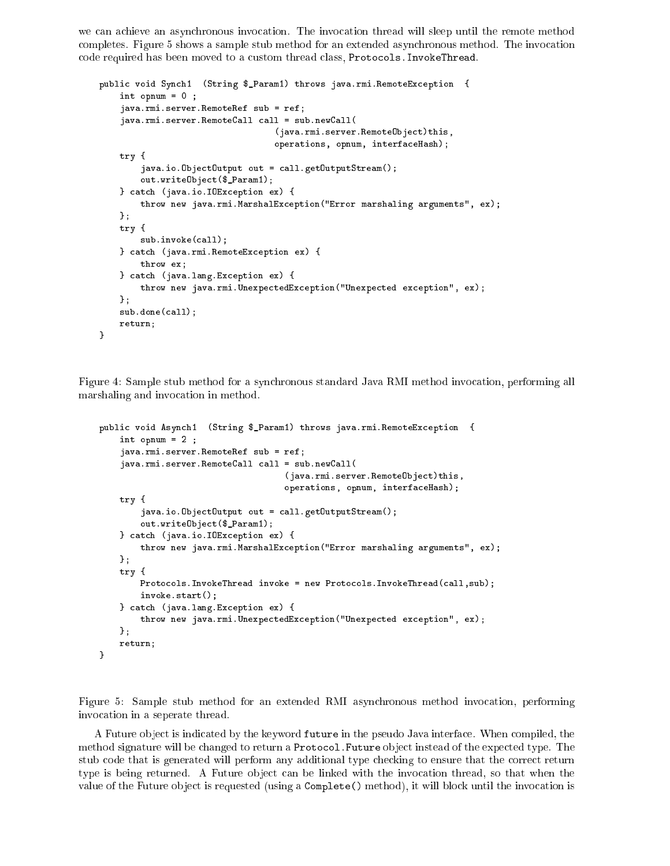we can achieve an asynchronous invocation. The invocation thread will sleep until the remote method completes. Figure 5 shows a sample stub method for an extended asynchronous method. The invocation code required has been moved to a custom thread class, Protocols.InvokeThread.

```
public void Synch1 (String $_Param1) throws java.rmi.RemoteException {
    int opnum = 0 ;
    java.rmi.server.RemoteRef sub = ref;
    java.rmi.server.RemoteCall call = sub.newCall(
                                   (java.rmi.server.RemoteObject)this,
                                   operations, opnum, interfaceHash);
   try {
        java.io.ObjectOutput out = call.getOutputStream();
        out.writeObject($_Param1);
    } catch (java.io.IOException ex) {
        throw new java.rmi.MarshalException("Error marshaling arguments", ex);
    };
   try {
        sub.invoke(call);
    } catch (java.rmi.RemoteException ex) {
       throw ex;
    } catch (java.lang.Exception ex) {
        throw new java.rmi.UnexpectedException("Unexpected exception", ex);
    \ddagger:
    };
    sub.done(call);
   return;
}
```
Figure 4: Sample stub method for a synchronous standard Java RMI method invocation, performing all marshaling and invocation in method.

```
public void Asynch1 (String $_Param1) throws java.rmi.RemoteException {
    int opnum = 2 ;
    java.rmi.server.RemoteRef sub = ref;
    java.rmi.server.RemoteCall call = sub.newCall(
                                    (java.rmi.server.RemoteObject)this,
                                    operations, opnum, interfaceHash);
   try {
        java.io.ObjectOutput out = call.getOutputStream();
        out.writeObject($_Param1);
    } catch (java.io.IOException ex) {
        throw new java.rmi.MarshalException("Error marshaling arguments", ex);
   };
   try {
       Protocols.InvokeThread invoke = new Protocols.InvokeThread(call,sub);
        invoke.start();
    } catch (java.lang.Exception ex) {
        throw new java.rmi.UnexpectedException("Unexpected exception", ex);
   };
   return;
}
```
Figure 5: Sample stub method for an extended RMI asynchronous method invocation, performing invocation in a seperate thread.

A Future ob ject is indicated by the keyword future in the pseudo Java interface. When compiled, the method signature will be changed to return a Protocol. Future object instead of the expected type. The stub code that is generated will perform any additional type checking to ensure that the correct return type is being returned. A Future object can be linked with the invocation thread, so that when the value of the Future object is requested (using a Complete() method), it will block until the invocation is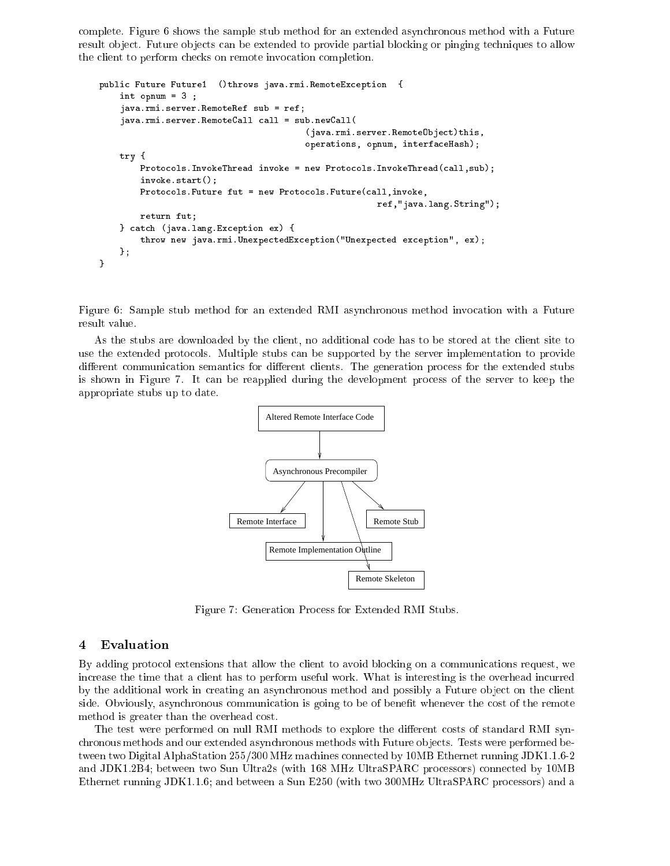complete. Figure 6 shows the sample stub method for an extended asynchronous method with a Future result object. Future objects can be extended to provide partial blocking or pinging techniques to allow the client to perform checks on remote invocation completion.

```
public Future Future1 ()throws java.rmi.RemoteException {
    int opnum = 3 ;
    java.rmi.server.RemoteRef sub = ref;
    java.rmi.server.RemoteCall call = sub.newCall(
                                        (java.rmi.server.RemoteObject)this,
                                        operations, opnum, interfaceHash);
   try {
       Protocols.InvokeThread invoke = new Protocols.InvokeThread(call,sub);
        invoke.start();
       Protocols.Future fut = new Protocols.Future(call,invoke,
                                                      ref,"java.lang.String");
       return fut;
    } catch (java.lang.Exception ex) {
        throw new java.rmi.UnexpectedException("Unexpected exception", ex);
    };
}
```
Figure 6: Sample stub method for an extended RMI asynchronous method invocation with a Future result value.

As the stubs are downloaded by the client, no additional code has to be stored at the client site to use the extended protocols. Multiple stubs can be supported by the server implementation to provide different communication semantics for different clients. The generation process for the extended stubs is shown in Figure 7. It can be reapplied during the development process of the server to keep the appropriate stubs up to date.



Figure 7: Generation Process for Extended RMI Stubs.

#### **Evaluation** 4

By adding protocol extensions that allow the client to avoid blocking on a communications request, we increase the time that a client has to perform useful work. What is interesting is the overhead incurred by the additional work in creating an asynchronous method and possibly a Future object on the client side. Obviously, asynchronous communication is going to be of benefit whenever the cost of the remote method is greater than the overhead cost.

The test were performed on null RMI methods to explore the different costs of standard RMI synchronous methods and our extended asynchronous methods with Future ob jects. Tests were performed between two Digital AlphaStation 255/300 MHz machines connected by 10MB Ethernet running JDK1.1.6-2 and JDK1.2B4; between two Sun Ultra2s (with 168 MHz UltraSPARC processors) connected by 10MB Ethernet running JDK1.1.6; and between a Sun E250 (with two 300MHz UltraSPARC processors) and a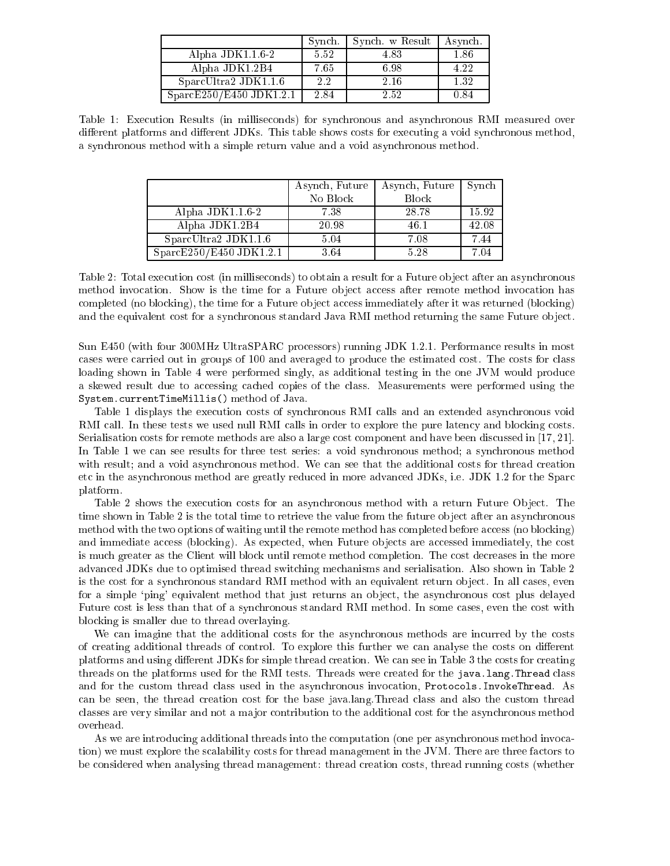|                          | Synch.  | Synch. w Result | Asynch. |
|--------------------------|---------|-----------------|---------|
| Alpha JDK1.1.6-2         | 5.52    | 4.83            | 1.86    |
| Alpha JDK1.2B4           | 7.65    | 6.98            | 4.22    |
| $SparCltra2$ JDK1.1.6    | $2.2\,$ | 2.16            | 1.32    |
| SparseE250/E450 JDK1.2.1 | 2.84    | 2.52            | 0.84    |

Table 1: Execution Results (in milliseconds) for synchronous and asynchronous RMI measured over different platforms and different JDKs. This table shows costs for executing a void synchronous method, a synchronous method with a simple return value and a void asynchronous method.

|                         | Asynch, Future | Asynch, Future | Synch |
|-------------------------|----------------|----------------|-------|
|                         | No Block       | Block          |       |
| Alpha JDK $1.16-2$      | 7.38           | 28.78          | 15.92 |
| Alpha JDK1.2B4          | 20.98          | 46.1           | 42.08 |
| SparcUltra2 JDK1.1.6    | 5.04           | 7.08           | 7.44  |
| SparcE250/E450 JDK1.2.1 | 3.64           | 5.28           | 7.04  |

Table 2: Total execution cost (in milliseconds) to obtain a result for a Future ob ject after an asynchronous method invocation. Show is the time for a Future object access after remote method invocation has completed (no blocking), the time for a Future ob ject access immediately after it was returned (blocking) and the equivalent cost for a synchronous standard Java RMI method returning the same Future ob ject.

Sun E450 (with four 300MHz UltraSPARC processors) running JDK 1.2.1. Performance results in most cases were carried out in groups of 100 and averaged to produce the estimated cost. The costs for class loading shown in Table 4 were performed singly, as additional testing in the one JVM would produce a skewed result due to accessing cached copies of the class. Measurements were performed using the System.currentTimeMillis() method of Java.

Table 1 displays the execution costs of synchronous RMI calls and an extended asynchronous void RMI call. In these tests we used null RMI calls in order to explore the pure latency and blocking costs. Serialisation costs for remote methods are also a large cost component and have been discussed in [17, 21]. In Table 1 we can see results for three test series: a void synchronous method; a synchronous method with result; and a void asynchronous method. We can see that the additional costs for thread creation etc in the asynchronous method are greatly reduced in more advanced JDKs, i.e. JDK 1.2 for the Sparc platform.

Table 2 shows the execution costs for an asynchronous method with a return Future Object. The time shown in Table 2 is the total time to retrieve the value from the future ob ject after an asynchronous method with the two options of waiting until the remote method has completed before access (no blocking) and immediate access (blocking). As expected, when Future ob jects are accessed immediately, the cost is much greater as the Client will block until remote method completion. The cost decreases in the more advanced JDKs due to optimised thread switching mechanisms and serialisation. Also shown in Table 2 is the cost for a synchronous standard RMI method with an equivalent return object. In all cases, even for a simple 'ping' equivalent method that just returns an object, the asynchronous cost plus delayed Future cost is less than that of a synchronous standard RMI method. In some cases, even the cost with blocking is smaller due to thread overlaying.

We can imagine that the additional costs for the asynchronous methods are incurred by the costs of creating additional threads of control. To explore this further we can analyse the costs on different platforms and using different JDKs for simple thread creation. We can see in Table 3 the costs for creating threads on the platforms used for the RMI tests. Threads were created for the java.lang.Thread class and for the custom thread class used in the asynchronous invocation, Protocols.InvokeThread. As can be seen, the thread creation cost for the base java.lang.Thread class and also the custom thread classes are very similar and not a ma jor contribution to the additional cost for the asynchronous method

As we are introducing additional threads into the computation (one per asynchronous method invocation) we must explore the scalability costs for thread management in the JVM. There are three factors to be considered when analysing thread management: thread creation costs, thread running costs (whether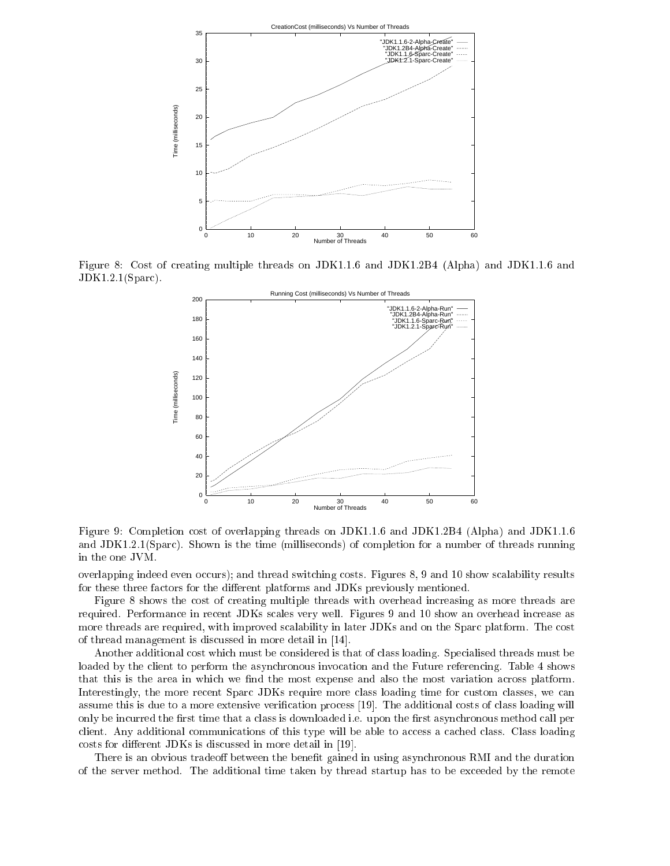

Figure 8: Cost of creating multiple threads on JDK1.1.6 and JDK1.2B4 (Alpha) and JDK1.1.6 and JDK1.2.1(Sparc).



Figure 9: Completion cost of overlapping threads on JDK1.1.6 and JDK1.2B4 (Alpha) and JDK1.1.6 and JDK1.2.1(Sparc). Shown is the time (milliseconds) of completion for a number of threads running in the one JVM.

overlapping indeed even occurs); and thread switching costs. Figures 8, 9 and 10 show scalability results for these three factors for the different platforms and JDKs previously mentioned.

Figure 8 shows the cost of creating multiple threads with overhead increasing as more threads are required. Performance in recent JDKs scales very well. Figures 9 and 10 show an overhead increase as more threads are required, with improved scalability in later JDKs and on the Sparc platform. The cost of thread management is discussed in more detail in [14].

Another additional cost which must be considered is that of class loading. Specialised threads must be loaded by the client to perform the asynchronous invocation and the Future referencing. Table 4 shows that this is the area in which we find the most expense and also the most variation across platform. Interestingly, the more recent Sparc JDKs require more class loading time for custom classes, we can assume this is due to a more extensive verification process [19]. The additional costs of class loading will only be incurred the first time that a class is downloaded i.e. upon the first asynchronous method call per client. Any additional communications of this type will be able to access a cached class. Class loading costs for different JDKs is discussed in more detail in [19].

There is an obvious tradeoff between the benefit gained in using asynchronous RMI and the duration of the server method. The additional time taken by thread startup has to be exceeded by the remote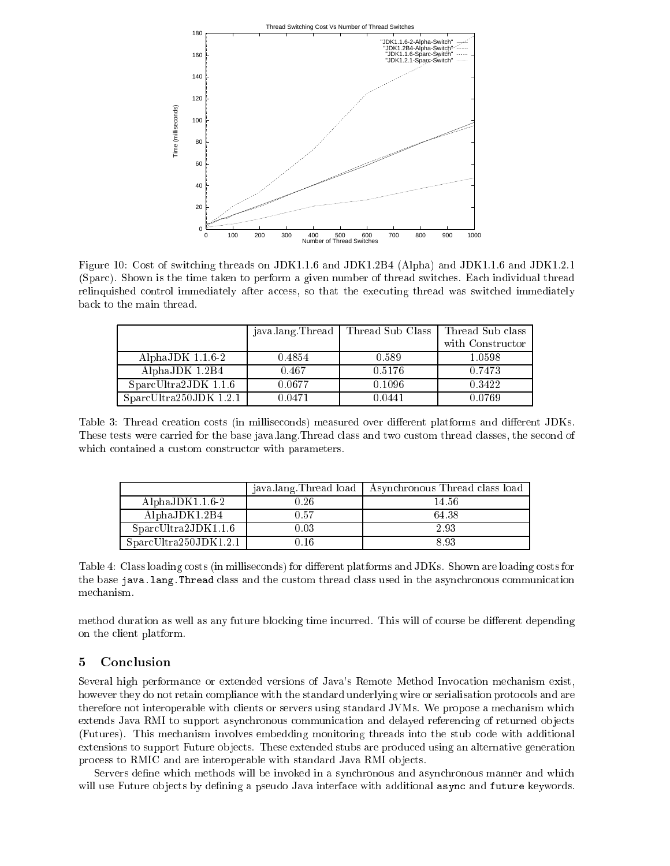

Figure 10: Cost of switching threads on JDK1.1.6 and JDK1.2B4 (Alpha) and JDK1.1.6 and JDK1.2.1 (Sparc). Shown is the time taken to perform a given number of thread switches. Each individual thread relinquished control immediately after access, so that the executing thread was switched immediately back to the main thread.

|                       | java lang Thread | Thread Sub Class | Thread Sub class |
|-----------------------|------------------|------------------|------------------|
|                       |                  |                  | with Constructor |
| AlphaJDK $1.1.6-2$    | 0.4854           | 0.589            | 1.0598           |
| AlphaJDK 1.2B4        | 0.467            | 0.5176           | 0.7473           |
| SparcUltra2JDK 1.1.6  | 0.0677           | 0.1096           | 0.3422           |
| SparCltra250JDK 1.2.1 | 0.0471           | 0.0441           | 0.0769           |

Table 3: Thread creation costs (in milliseconds) measured over different platforms and different JDKs. These tests were carried for the base java.lang.Thread class and two custom thread classes, the second of which contained a custom constructor with parameters.

|                       | java lang Thread load | Asynchronous Thread class load |
|-----------------------|-----------------------|--------------------------------|
| AlphaJD $K1.1.6-2$    | 0.26                  | 14.56                          |
| AlphaJD $K1.2B4$      | 0.57                  | 64.38                          |
| SparCltra2JDK1.1.6    | 0.03                  | 2.93                           |
| SparcUltra250JDK1.2.1 | በ 16                  | 893                            |

Table 4: Class loading costs (in milliseconds) for different platforms and JDKs. Shown are loading costs for the base java.lang.Thread class and the custom thread class used in the asynchronous communication mechanism.

method duration as well as any future blocking time incurred. This will of course be different depending on the client platform.

# 5 Conclusion

Several high performance or extended versions of Java's Remote Method Invocation mechanism exist, however they do not retain compliance with the standard underlying wire or serialisation protocols and are therefore not interoperable with clients or servers using standard JVMs. We propose a mechanism which extends Java RMI to support asynchronous communication and delayed referencing of returned objects (Futures). This mechanism involves embedding monitoring threads into the stub code with additional extensions to support Future objects. These extended stubs are produced using an alternative generation process to RMIC and are interoperable with standard Java RMI objects.

Servers define which methods will be invoked in a synchronous and asynchronous manner and which will use Future objects by defining a pseudo Java interface with additional async and future keywords.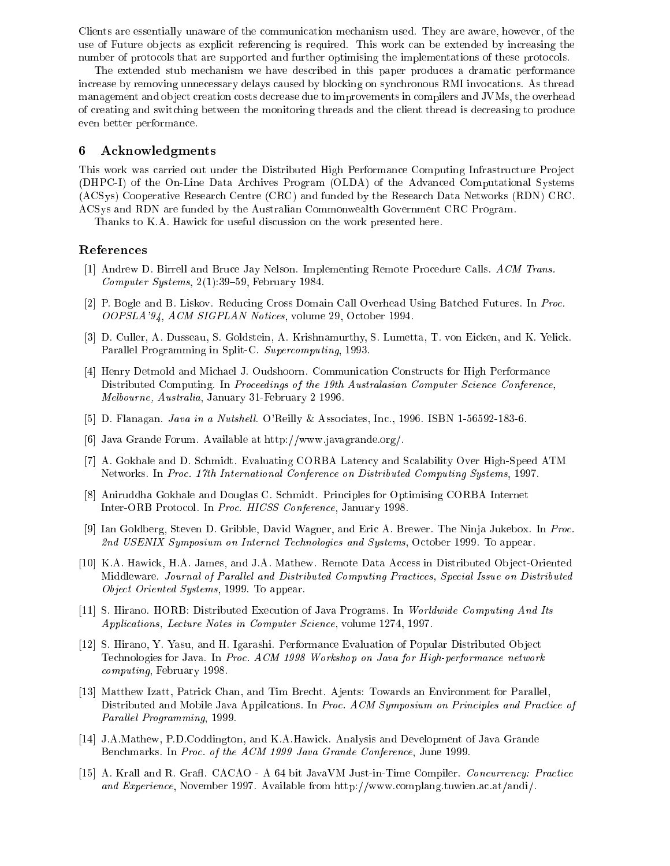Clients are essentially unaware of the communication mechanism used. They are aware, however, of the use of Future objects as explicit referencing is required. This work can be extended by increasing the number of protocols that are supported and further optimising the implementations of these protocols.

The extended stub mechanism we have described in this paper produces a dramatic performance increase by removing unnecessary delays caused by blocking on synchronous RMI invocations. As thread management and object creation costs decrease due to improvements in compilers and JVMs, the overhead of creating and switching between the monitoring threads and the client thread is decreasing to produce even better performance.

# 6 Acknowledgments

This work was carried out under the Distributed High Performance Computing Infrastructure Project (DHPC-I) of the On-Line Data Archives Program (OLDA) of the Advanced Computational Systems (ACSys) Cooperative Research Centre (CRC) and funded by the Research Data Networks (RDN) CRC. ACSys and RDN are funded by the Australian Commonwealth Government CRC Program.

Thanks to K.A. Hawick for useful discussion on the work presented here.

### References

- [1] Andrew D. Birrell and Bruce Jay Nelson. Implementing Remote Procedure Calls. ACM Trans. Computer Systems,  $2(1):39-59$ , February 1984.
- [2] P. Bogle and B. Liskov. Reducing Cross Domain Call Overhead Using Batched Futures. In Proc. OOPSLA'94, ACM SIGPLAN Notices, volume 29, October 1994.
- [3] D. Culler, A. Dusseau, S. Goldstein, A. Krishnamurthy, S. Lumetta, T. von Eicken, and K. Yelick. Parallel Programming in Split-C. Supercomputing, 1993.
- [4] Henry Detmold and Michael J. Oudshoorn. Communication Constructs for High Performance Distributed Computing. In Proceedings of the 19th Australasian Computer Science Conference, Melbourne, Australia, January 31-February 2 1996.
- [5] D. Flanagan. *Java in a Nutshell*. O'Reilly & Associates, Inc., 1996. ISBN 1-56592-183-6.
- [6] Java Grande Forum. Available at http://www.javagrande.org/.
- [7] A. Gokhale and D. Schmidt. Evaluating CORBA Latency and Scalability Over High-Speed ATM Networks. In Proc. 17th International Conference on Distributed Computing Systems, 1997.
- [8] Aniruddha Gokhale and Douglas C. Schmidt. Principles for Optimising CORBA Internet Inter-ORB Protocol. In Proc. HICSS Conference, January 1998.
- [9] Ian Goldberg, Steven D. Gribble, David Wagner, and Eric A. Brewer. The Ninja Jukebox. In Proc. 2nd USENIX Symposium on Internet Technologies and Systems, October 1999. To appear.
- [10] K.A. Hawick, H.A. James, and J.A. Mathew. Remote Data Access in Distributed Object-Oriented Middleware. Journal of Parallel and Distributed Computing Practices, Special Issue on Distributed Object Oriented Systems, 1999. To appear.
- [11] S. Hirano. HORB: Distributed Execution of Java Programs. In Worldwide Computing And Its Applications, Lecture Notes in Computer Science, volume 1274, 1997.
- [12] S. Hirano, Y. Yasu, and H. Igarashi. Performance Evaluation of Popular Distributed Ob ject Technologies for Java. In Proc. ACM 1998 Workshop on Java for High-performance network computing, February 1998.
- [13] Matthew Izatt, Patrick Chan, and Tim Brecht. Ajents: Towards an Environment for Parallel, Distributed and Mobile Java Appilcations. In Proc. ACM Symposium on Principles and Practice of Parallel Programming, 1999.
- [14] J.A.Mathew, P.D.Coddington, and K.A.Hawick. Analysis and Development of Java Grande Benchmarks. In Proc. of the ACM 1999 Java Grande Conference, June 1999.
- [15] A. Krall and R. Grafl. CACAO A 64 bit JavaVM Just-in-Time Compiler. Concurrency: Practice and Experience, November 1997. Available from http://www.complang.tuwien.ac.at/andi/.